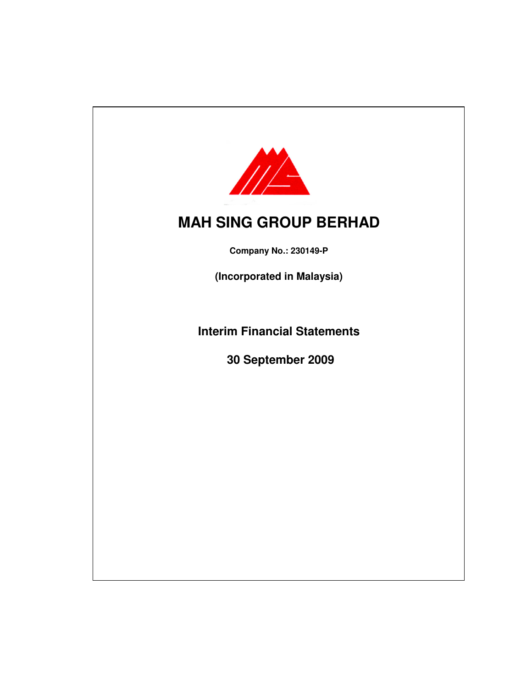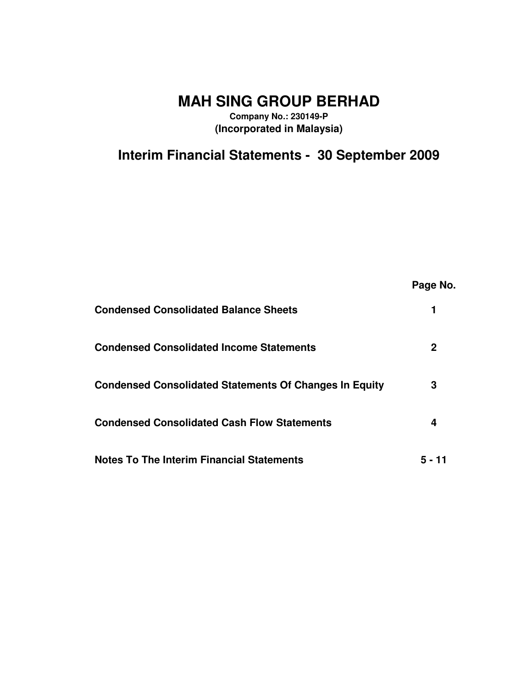**MAH SING GROUP BERHAD**

**Company No.: 230149-P (Incorporated in Malaysia)**

**Interim Financial Statements - 30 September 2009**

|                                                               | Page No. |
|---------------------------------------------------------------|----------|
| <b>Condensed Consolidated Balance Sheets</b>                  |          |
| <b>Condensed Consolidated Income Statements</b>               | 2        |
| <b>Condensed Consolidated Statements Of Changes In Equity</b> | 3        |
| <b>Condensed Consolidated Cash Flow Statements</b>            | 4        |
| <b>Notes To The Interim Financial Statements</b>              | 5 - 11   |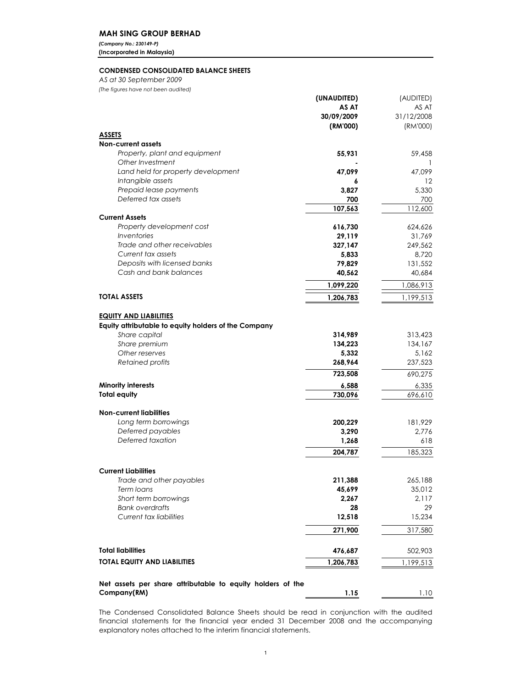# MAH SING GROUP BERHAD

(Company No.: 230149-P) (Incorporated in Malaysia)

## CONDENSED CONSOLIDATED BALANCE SHEETS

AS at 30 September 2009

| (The figures have not been audited)                                   |                 |                   |
|-----------------------------------------------------------------------|-----------------|-------------------|
|                                                                       | (UNAUDITED)     | (AUDITED)         |
|                                                                       | AS AT           | AS AT             |
|                                                                       | 30/09/2009      | 31/12/2008        |
|                                                                       | (RM'000)        | (RM'000)          |
| <b>ASSETS</b><br><b>Non-current assets</b>                            |                 |                   |
| Property, plant and equipment                                         | 55,931          | 59,458            |
| Other Investment                                                      |                 | $\mathbf{1}$      |
| Land held for property development                                    | 47,099          | 47,099            |
| Intangible assets                                                     | 6               | $12 \,$           |
| Prepaid lease payments                                                | 3,827           | 5,330             |
| Deferred tax assets                                                   | 700             | 700               |
|                                                                       | 107,563         | 112,600           |
| <b>Current Assets</b>                                                 |                 |                   |
| Property development cost                                             | 616,730         | 624,626           |
| Inventories                                                           | 29,119          | 31,769            |
| Trade and other receivables                                           | 327,147         | 249,562           |
| Current tax assets<br>Deposits with licensed banks                    | 5,833<br>79,829 | 8,720             |
| Cash and bank balances                                                | 40,562          | 131,552<br>40,684 |
|                                                                       |                 |                   |
|                                                                       | 1,099,220       | 1,086,913         |
| <b>TOTAL ASSETS</b>                                                   | 1,206,783       | 1,199,513         |
|                                                                       |                 |                   |
| <b>EQUITY AND LIABILITIES</b>                                         |                 |                   |
| Equity attributable to equity holders of the Company<br>Share capital | 314,989         | 313,423           |
| Share premium                                                         | 134,223         | 134,167           |
| Other reserves                                                        | 5,332           | 5,162             |
| Retained profits                                                      | 268,964         | 237,523           |
|                                                                       | 723,508         | 690,275           |
| <b>Minority interests</b>                                             | 6,588           | 6,335             |
| <b>Total equity</b>                                                   | 730,096         | 696,610           |
|                                                                       |                 |                   |
| <b>Non-current liabilities</b>                                        |                 |                   |
| Long term borrowings                                                  | 200,229         | 181,929           |
| Deferred payables                                                     | 3,290           | 2,776             |
| Deferred taxation                                                     | 1,268           | 618               |
|                                                                       | 204,787         | 185,323           |
|                                                                       |                 |                   |
| <b>Current Liabilities</b>                                            |                 |                   |
| Trade and other payables                                              | 211,388         | 265,188           |
| Term loans                                                            | 45,699          | 35,012            |
| Short term borrowings<br><b>Bank overdrafts</b>                       | 2,267<br>28     | 2,117<br>29       |
| Current tax liabilities                                               | 12,518          | 15,234            |
|                                                                       |                 |                   |
|                                                                       | 271,900         | 317,580           |
| <b>Total liabilities</b>                                              | 476,687         | 502,903           |
| <b>TOTAL EQUITY AND LIABILITIES</b>                                   | 1,206,783       | 1,199,513         |
|                                                                       |                 |                   |
| Net assets per share attributable to equity holders of the            |                 |                   |
| Company(RM)                                                           | 1.15            | 1.10              |
|                                                                       |                 |                   |

The Condensed Consolidated Balance Sheets should be read in conjunction with the audited financial statements for the financial year ended 31 December 2008 and the accompanying explanatory notes attached to the interim financial statements.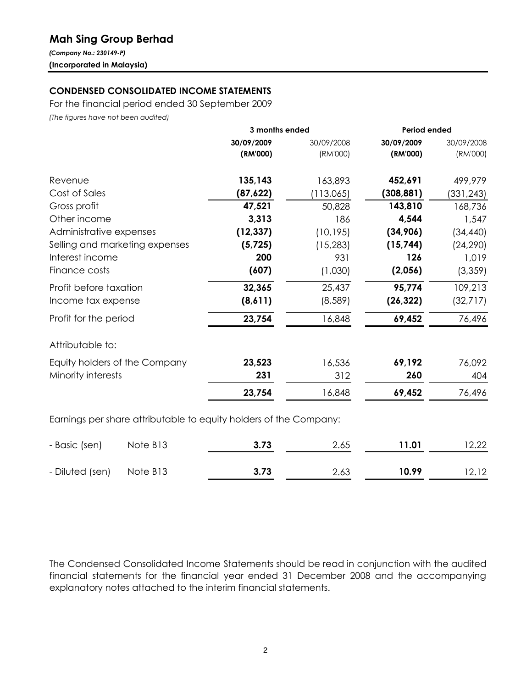# Mah Sing Group Berhad

(Company No.: 230149-P) (Incorporated in Malaysia)

# CONDENSED CONSOLIDATED INCOME STATEMENTS

For the financial period ended 30 September 2009

(The figures have not been audited)

|                                                                   | 3 months ended |            | Period ended |            |  |
|-------------------------------------------------------------------|----------------|------------|--------------|------------|--|
|                                                                   | 30/09/2009     | 30/09/2008 | 30/09/2009   | 30/09/2008 |  |
|                                                                   | (RM'000)       | (RM'000)   | (RM'000)     | (RM'000)   |  |
| Revenue                                                           | 135,143        | 163,893    | 452,691      | 499,979    |  |
| Cost of Sales                                                     | (87, 622)      | (113,065)  | (308, 881)   | (331,243)  |  |
| Gross profit                                                      | 47,521         | 50,828     | 143,810      | 168,736    |  |
| Other income                                                      | 3,313          | 186        | 4,544        | 1,547      |  |
| Administrative expenses                                           | (12, 337)      | (10, 195)  | (34,906)     | (34, 440)  |  |
| Selling and marketing expenses                                    | (5, 725)       | (15, 283)  | (15, 744)    | (24, 290)  |  |
| Interest income                                                   | 200            | 931        | 126          | 1,019      |  |
| Finance costs                                                     | (607)          | (1,030)    | (2,056)      | (3,359)    |  |
| Profit before taxation                                            | 32,365         | 25,437     | 95,774       | 109,213    |  |
| Income tax expense                                                | (8,611)        | (8,589)    | (26, 322)    | (32,717)   |  |
| Profit for the period                                             | 23,754         | 16,848     | 69,452       | 76,496     |  |
| Attributable to:                                                  |                |            |              |            |  |
| Equity holders of the Company                                     | 23,523         | 16,536     | 69,192       | 76,092     |  |
| Minority interests                                                | 231            | 312        | 260          | 404        |  |
|                                                                   | 23,754         | 16,848     | 69,452       | 76,496     |  |
| Earnings per share attributable to equity holders of the Company: |                |            |              |            |  |

| - Basic (sen)            | Note B13 | 3.73 | 2.65 | 11.01 | 12.22 |
|--------------------------|----------|------|------|-------|-------|
| - Diluted (sen) Note B13 |          | 3.73 | 2.63 | 10.99 | 12.12 |

The Condensed Consolidated Income Statements should be read in conjunction with the audited financial statements for the financial year ended 31 December 2008 and the accompanying explanatory notes attached to the interim financial statements.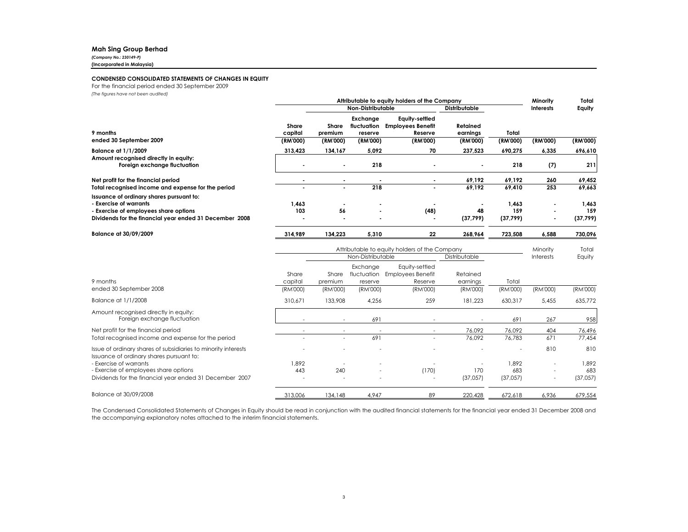### Mah Sing Group Berhad

(Company No.: 230149-P)

(Incorporated in Malaysia)

### CONDENSED CONSOLIDATED STATEMENTS OF CHANGES IN EQUITY

For the financial period ended 30 September 2009

(The figures have not been audited)

|                                                                                                             |                  | Attributable to equity holders of the Company |                                    |                                                       |                      |              | Minority         | Total        |
|-------------------------------------------------------------------------------------------------------------|------------------|-----------------------------------------------|------------------------------------|-------------------------------------------------------|----------------------|--------------|------------------|--------------|
|                                                                                                             |                  | Non-Distributable                             |                                    |                                                       | <b>Distributable</b> |              | <b>Interests</b> | Equity       |
| 9 months                                                                                                    | Share<br>capital | Share<br>premium                              | Exchange<br>fluctuation<br>reserve | Equity-settled<br><b>Employees Benefit</b><br>Reserve | Retained<br>earnings | Total        |                  |              |
| ended 30 September 2009                                                                                     | (RM'000)         | (RM'000)                                      | (RM'000)                           | (RM'000)                                              | (RM'000)             | (RM'000)     | (RM'000)         | (RM'000)     |
| <b>Balance at 1/1/2009</b>                                                                                  | 313,423          | 134,167                                       | 5,092                              | 70                                                    | 237,523              | 690,275      | 6,335            | 696,610      |
| Amount recognised directly in equity:<br>Foreign exchange fluctuation                                       |                  | $\blacksquare$                                | 218                                |                                                       |                      | 218          | (7)              | 211          |
| Net profit for the financial period                                                                         |                  |                                               |                                    |                                                       | 69,192               | 69,192       | 260              | 69,452       |
| Total recognised income and expense for the period                                                          |                  |                                               | 218                                |                                                       | 69,192               | 69.410       | 253              | 69.663       |
| Issuance of ordinary shares pursuant to:<br>- Exercise of warrants<br>- Exercise of employees share options | 1,463<br>103     | 56                                            | $\blacksquare$<br>$\blacksquare$   | (48)                                                  | ٠<br>48              | 1,463<br>159 | ۰                | 1,463<br>159 |
| Dividends for the financial year ended 31 December 2008                                                     |                  |                                               | $\blacksquare$                     | ٠                                                     | (37, 799)            | (37, 799)    | ۰                | (37, 799)    |
| <b>Balance at 30/09/2009</b>                                                                                | 314.989          | 134.223                                       | 5.310                              | 22                                                    | 268.964              | 723.508      | 6.588            | 730.096      |

|                                                                                                            |                  | Attributable to equity holders of the Company |                                    |                                                |                      |          | Minority                 | Total    |
|------------------------------------------------------------------------------------------------------------|------------------|-----------------------------------------------|------------------------------------|------------------------------------------------|----------------------|----------|--------------------------|----------|
|                                                                                                            |                  | Non-Distributable                             |                                    |                                                | Distributable        |          | <b>Interests</b>         | Equity   |
| 9 months                                                                                                   | Share<br>capital | Share<br>premium                              | Exchange<br>fluctuation<br>reserve | Equity-settled<br>Employees Benefit<br>Reserve | Retained<br>earnings | Total    |                          |          |
| ended 30 September 2008                                                                                    | (RM'000)         | (RM'000)                                      | (RM'000)                           | (RM'000)                                       | (RM'000)             | (RM'000) | (RM'000)                 | (RM'000) |
| Balance at 1/1/2008                                                                                        | 310,671          | 133,908                                       | 4,256                              | 259                                            | 181,223              | 630,317  | 5,455                    | 635,772  |
| Amount recognised directly in equity:<br>Foreign exchange fluctuation                                      |                  | $\sim$                                        | 691                                |                                                |                      | 691      | 267                      | 958      |
| Net profit for the financial period                                                                        |                  |                                               |                                    |                                                | 76,092               | 76,092   | 404                      | 76,496   |
| Total recognised income and expense for the period                                                         |                  |                                               | 691                                |                                                | 76,092               | 76,783   | 671                      | 77,454   |
| Issue of ordinary shares of subsidiaries to minority interests<br>Issuance of ordinary shares pursuant to: |                  |                                               | $\overline{\phantom{a}}$           |                                                |                      |          | 810                      | 810      |
| - Exercise of warrants                                                                                     | 1.892            |                                               |                                    |                                                |                      | 1.892    |                          | 1.892    |
| - Exercise of employees share options                                                                      | 443              | 240                                           | $\overline{\phantom{a}}$           | (170)                                          | 170                  | 683      | $\overline{\phantom{a}}$ | 683      |
| Dividends for the financial year ended 31 December 2007                                                    |                  |                                               | ٠                                  |                                                | (37,057)             | (37,057) | $\overline{\phantom{a}}$ | (37,057) |
| Balance at 30/09/2008                                                                                      | 313,006          | 134,148                                       | 4.947                              | 89                                             | 220,428              | 672.618  | 6.936                    | 679.554  |

The Condensed Consolidated Statements of Changes in Equity should be read in conjunction with the audited financial statements for the financial year ended <sup>31</sup> December <sup>2008</sup> and the accompanying explanatory notes attached to the interim financial statements.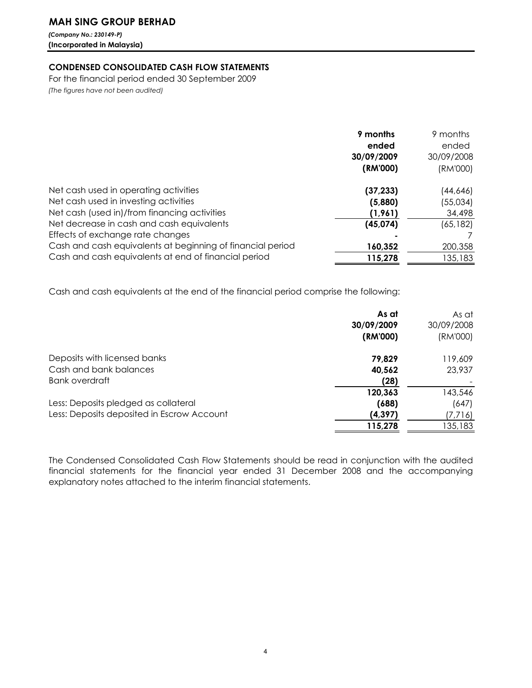# MAH SING GROUP BERHAD

(Company No.: 230149-P) (Incorporated in Malaysia)

# CONDENSED CONSOLIDATED CASH FLOW STATEMENTS

For the financial period ended 30 September 2009 (The figures have not been audited)

|                                                            | 9 months<br>ended<br>30/09/2009<br>(RM'000) | 9 months<br>ended<br>30/09/2008<br>(RM'000) |
|------------------------------------------------------------|---------------------------------------------|---------------------------------------------|
| Net cash used in operating activities                      | (37, 233)                                   | (44,646)                                    |
| Net cash used in investing activities                      | (5,880)                                     | (55,034)                                    |
| Net cash (used in)/from financing activities               | (1,961)                                     | 34,498                                      |
| Net decrease in cash and cash equivalents                  | (45, 074)                                   | (65, 182)                                   |
| Effects of exchange rate changes                           |                                             |                                             |
| Cash and cash equivalents at beginning of financial period | 160,352                                     | 200,358                                     |
| Cash and cash equivalents at end of financial period       | 115,278                                     | 135,183                                     |

Cash and cash equivalents at the end of the financial period comprise the following:

| As at    | As at<br>30/09/2008 |
|----------|---------------------|
| (RM'000) | (RM'000)            |
| 79,829   | 119,609             |
| 40,562   | 23,937              |
| (28)     |                     |
| 120,363  | 143,546             |
| (688)    | (647)               |
| (4, 397) | (7,716)             |
| 115,278  | 135,183             |
|          | 30/09/2009          |

The Condensed Consolidated Cash Flow Statements should be read in conjunction with the audited financial statements for the financial year ended 31 December 2008 and the accompanying explanatory notes attached to the interim financial statements.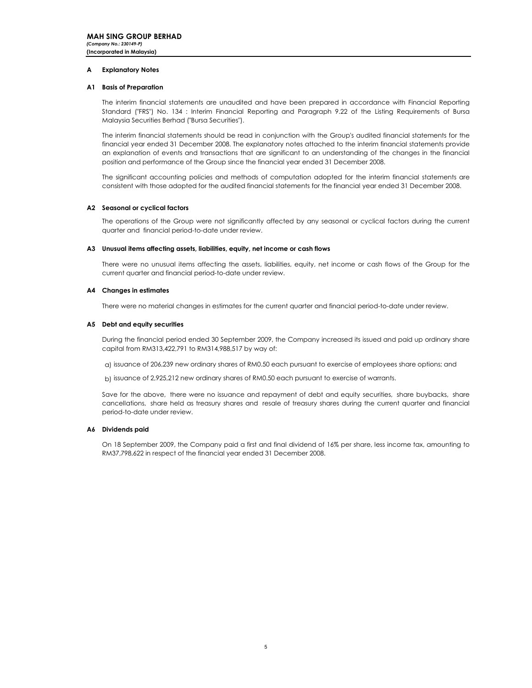### A Explanatory Notes

### A1 Basis of Preparation

The interim financial statements are unaudited and have been prepared in accordance with Financial Reporting Standard ("FRS") No. 134 : Interim Financial Reporting and Paragraph 9.22 of the Listing Requirements of Bursa Malaysia Securities Berhad ("Bursa Securities").

The interim financial statements should be read in conjunction with the Group's audited financial statements for the financial year ended 31 December 2008. The explanatory notes attached to the interim financial statements provide an explanation of events and transactions that are significant to an understanding of the changes in the financial position and performance of the Group since the financial year ended 31 December 2008.

The significant accounting policies and methods of computation adopted for the interim financial statements are consistent with those adopted for the audited financial statements for the financial year ended 31 December 2008.

### A2 Seasonal or cyclical factors

The operations of the Group were not significantly affected by any seasonal or cyclical factors during the current quarter and financial period-to-date under review.

### A3 Unusual items affecting assets, liabilities, equity, net income or cash flows

There were no unusual items affecting the assets, liabilities, equity, net income or cash flows of the Group for the current quarter and financial period-to-date under review.

### A4 Changes in estimates

There were no material changes in estimates for the current quarter and financial period-to-date under review.

### A5 Debt and equity securities

During the financial period ended 30 September 2009, the Company increased its issued and paid up ordinary share capital from RM313,422,791 to RM314,988,517 by way of:

a) issuance of 206,239 new ordinary shares of RM0.50 each pursuant to exercise of employees share options; and

b) issuance of 2,925,212 new ordinary shares of RM0.50 each pursuant to exercise of warrants.

Save for the above, there were no issuance and repayment of debt and equity securities, share buybacks, share cancellations, share held as treasury shares and resale of treasury shares during the current quarter and financial period-to-date under review.

### A6 Dividends paid

On 18 September 2009, the Company paid a first and final dividend of 16% per share, less income tax, amounting to RM37,798,622 in respect of the financial year ended 31 December 2008.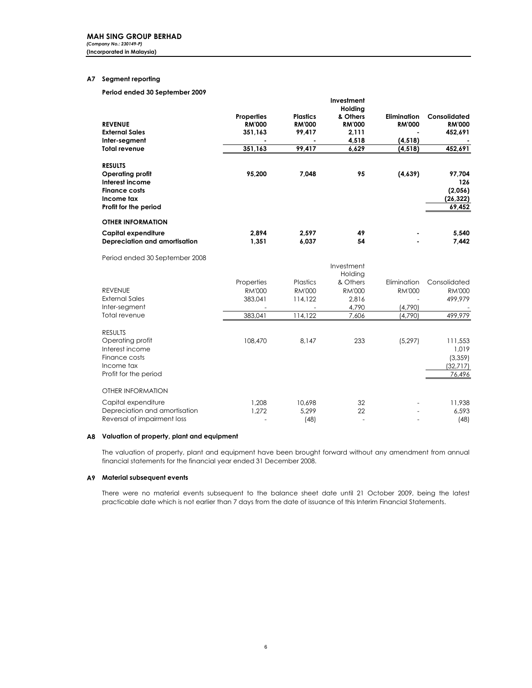# A7 Segment reporting

Period ended 30 September 2009

|                                |                   |                 | 1117531115111<br>Holdina |               |               |
|--------------------------------|-------------------|-----------------|--------------------------|---------------|---------------|
|                                | <b>Properties</b> | <b>Plastics</b> | & Others                 | Elimination   | Consolidated  |
| <b>REVENUE</b>                 | <b>RM'000</b>     | <b>RM'000</b>   | <b>RM'000</b>            | <b>RM'000</b> | <b>RM'000</b> |
| <b>External Sales</b>          | 351,163           | 99,417          | 2,111                    |               | 452,691       |
| Inter-segment                  |                   |                 | 4,518                    | (4, 518)      |               |
| <b>Total revenue</b>           | 351,163           | 99,417          | 6,629                    | (4, 518)      | 452,691       |
| <b>RESULTS</b>                 |                   |                 |                          |               |               |
| Operating profit               | 95,200            | 7,048           | 95                       | (4,639)       | 97,704        |
| Interest income                |                   |                 |                          |               | 126           |
| <b>Finance costs</b>           |                   |                 |                          |               | (2,056)       |
| Income tax                     |                   |                 |                          |               | (26,322)      |
| Profit for the period          |                   |                 |                          |               | 69,452        |
| <b>OTHER INFORMATION</b>       |                   |                 |                          |               |               |
| Capital expenditure            | 2.894             | 2.597           | 49                       |               | 5,540         |
| Depreciation and amortisation  | 1,351             | 6,037           | 54                       |               | 7,442         |
| Period ended 30 September 2008 |                   |                 |                          |               |               |
|                                |                   |                 | Investment               |               |               |
|                                |                   |                 | Holding                  |               |               |
|                                | Properties        | Plastics        | & Others                 | Elimination   | Consolidated  |
| <b>REVENUE</b>                 | RM'000            | <b>RM'000</b>   | <b>RM'000</b>            | <b>RM'000</b> | <b>RM'000</b> |
| <b>External Sales</b>          | 383,041           | 114,122         | 2,816                    |               | 499,979       |
| Inter-segment                  |                   |                 | 4,790                    | (4,790)       |               |
| Total revenue                  | 383,041           | 114,122         | 7,606                    | (4,790)       | 499,979       |

Investment

| <b>RESULTS</b><br>Operating profit<br>Interest income<br>Finance costs<br>Income tax<br>Profit for the period | 108,470        | 8.147                   | 233      | (5, 297) | 111,553<br>1,019<br>(3,359)<br>(32,717)<br>76,496 |
|---------------------------------------------------------------------------------------------------------------|----------------|-------------------------|----------|----------|---------------------------------------------------|
| OTHER INFORMATION                                                                                             |                |                         |          |          |                                                   |
| Capital expenditure<br>Depreciation and amortisation<br>Reversal of impairment loss                           | 1.208<br>1.272 | 10.698<br>5.299<br>(48) | 32<br>22 |          | 11,938<br>6,593<br>(48)                           |

### A8 Valuation of property, plant and equipment

The valuation of property, plant and equipment have been brought forward without any amendment from annual financial statements for the financial year ended 31 December 2008.

### A9 Material subsequent events

There were no material events subsequent to the balance sheet date until 21 October 2009, being the latest practicable date which is not earlier than 7 days from the date of issuance of this Interim Financial Statements.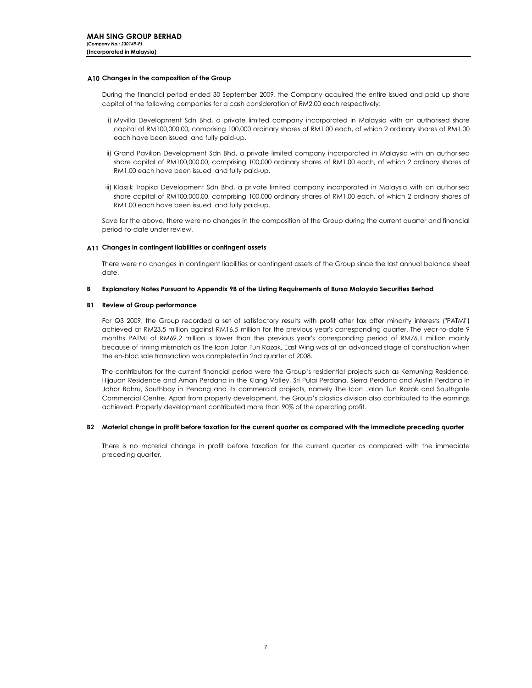### A10 Changes in the composition of the Group

During the financial period ended 30 September 2009, the Company acquired the entire issued and paid up share capital of the following companies for a cash consideration of RM2.00 each respectively:

- i) Myvilla Development Sdn Bhd, a private limited company incorporated in Malaysia with an authorised share capital of RM100,000.00, comprising 100,000 ordinary shares of RM1.00 each, of which 2 ordinary shares of RM1.00 each have been issued and fully paid-up.
- ii) Grand Pavilion Development Sdn Bhd, a private limited company incorporated in Malaysia with an authorised share capital of RM100,000.00, comprising 100,000 ordinary shares of RM1.00 each, of which 2 ordinary shares of RM1.00 each have been issued and fully paid-up.
- iii) Klassik Tropika Development Sdn Bhd, a private limited company incorporated in Malaysia with an authorised share capital of RM100,000.00, comprising 100,000 ordinary shares of RM1.00 each, of which 2 ordinary shares of RM1.00 each have been issued and fully paid-up.

Save for the above, there were no changes in the composition of the Group during the current quarter and financial period-to-date under review.

## A11 Changes in contingent liabilities or contingent assets

There were no changes in contingent liabilities or contingent assets of the Group since the last annual balance sheet date.

#### B Explanatory Notes Pursuant to Appendix 9B of the Listing Requirements of Bursa Malaysia Securities Berhad

### B1 Review of Group performance

For Q3 2009, the Group recorded a set of satisfactory results with profit after tax after minority interests ("PATMI") achieved at RM23.5 million against RM16.5 million for the previous year's corresponding quarter. The year-to-date 9 months PATMI of RM69.2 million is lower than the previous year's corresponding period of RM76.1 million mainly because of timing mismatch as The Icon Jalan Tun Razak, East Wing was at an advanced stage of construction when the en-bloc sale transaction was completed in 2nd quarter of 2008.

The contributors for the current financial period were the Group's residential projects such as Kemuning Residence, Hijauan Residence and Aman Perdana in the Klang Valley, Sri Pulai Perdana, Sierra Perdana and Austin Perdana in Johor Bahru, Southbay in Penang and its commercial projects, namely The Icon Jalan Tun Razak and Southgate Commercial Centre. Apart from property development, the Group's plastics division also contributed to the earnings achieved. Property development contributed more than 90% of the operating profit.

### B2 Material change in profit before taxation for the current quarter as compared with the immediate preceding quarter

There is no material change in profit before taxation for the current quarter as compared with the immediate preceding quarter.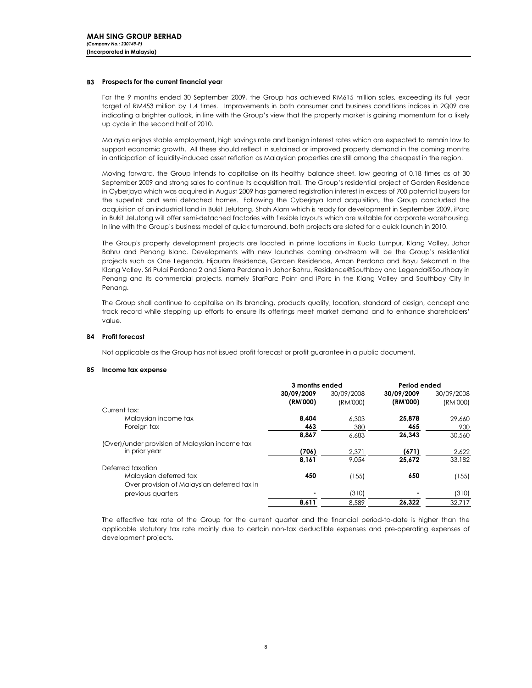### B3 Prospects for the current financial year

For the 9 months ended 30 September 2009, the Group has achieved RM615 million sales, exceeding its full year target of RM453 million by 1.4 times. Improvements in both consumer and business conditions indices in 2Q09 are indicating a brighter outlook, in line with the Group's view that the property market is gaining momentum for a likely up cycle in the second half of 2010.

Malaysia enjoys stable employment, high savings rate and benign interest rates which are expected to remain low to support economic growth. All these should reflect in sustained or improved property demand in the coming months in anticipation of liquidity-induced asset reflation as Malaysian properties are still among the cheapest in the region.

Moving forward, the Group intends to capitalise on its healthy balance sheet, low gearing of 0.18 times as at 30 September 2009 and strong sales to continue its acquisition trail. The Group's residential project of Garden Residence in Cyberjaya which was acquired in August 2009 has garnered registration interest in excess of 700 potential buyers for the superlink and semi detached homes. Following the Cyberjaya land acquisition, the Group concluded the acquisition of an industrial land in Bukit Jelutong, Shah Alam which is ready for development in September 2009. iParc in Bukit Jelutong will offer semi-detached factories with flexible layouts which are suitable for corporate warehousing. In line with the Group's business model of quick turnaround, both projects are slated for a quick launch in 2010.

The Group's property development projects are located in prime locations in Kuala Lumpur, Klang Valley, Johor Bahru and Penang Island. Developments with new launches coming on-stream will be the Group's residential projects such as One Legenda, Hijauan Residence, Garden Residence, Aman Perdana and Bayu Sekamat in the Klang Valley, Sri Pulai Perdana 2 and Sierra Perdana in Johor Bahru, Residence@Southbay and Legenda@Southbay in Penang and its commercial projects, namely StarParc Point and iParc in the Klang Valley and Southbay City in Penang.

The Group shall continue to capitalise on its branding, products quality, location, standard of design, concept and track record while stepping up efforts to ensure its offerings meet market demand and to enhance shareholders' value.

### B4 Profit forecast

Not applicable as the Group has not issued profit forecast or profit guarantee in a public document.

### B5 Income tax expense

|                                                | 3 months ended |            | Period ended |            |  |
|------------------------------------------------|----------------|------------|--------------|------------|--|
|                                                | 30/09/2009     | 30/09/2008 | 30/09/2009   | 30/09/2008 |  |
|                                                | (RM'000)       | (RM'000)   | (RM'000)     | (RM'000)   |  |
| Current tax:                                   |                |            |              |            |  |
| Malaysian income tax                           | 8.404          | 6.303      | 25,878       | 29,660     |  |
| Foreign tax                                    | 463            | 380        | 465          | 900        |  |
|                                                | 8.867          | 6.683      | 26.343       | 30,560     |  |
| (Over)/under provision of Malaysian income tax |                |            |              |            |  |
| in prior year                                  | (706)          | 2.371      | (671)        | 2,622      |  |
|                                                | 8,161          | 9.054      | 25,672       | 33,182     |  |
| Deferred taxation                              |                |            |              |            |  |
| Malaysian deferred tax                         | 450            | (155)      | 650          | (155)      |  |
| Over provision of Malaysian deferred tax in    |                |            |              |            |  |
| previous quarters                              |                | (310)      |              | (310)      |  |
|                                                | 8,611          | 8.589      | 26.322       | 32.717     |  |

The effective tax rate of the Group for the current quarter and the financial period-to-date is higher than the applicable statutory tax rate mainly due to certain non-tax deductible expenses and pre-operating expenses of development projects.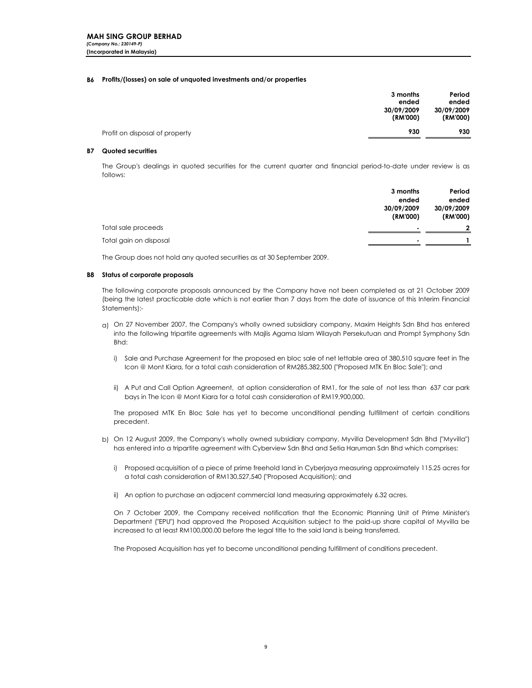### B6 Profits/(losses) on sale of unquoted investments and/or properties

|                                | 3 months<br>ended<br>30/09/2009<br>(RM'000) | Period<br>ended<br>30/09/2009<br>(RM'000) |
|--------------------------------|---------------------------------------------|-------------------------------------------|
| Profit on disposal of property | 930                                         | 930                                       |

### B7 Quoted securities

The Group's dealings in quoted securities for the current quarter and financial period-to-date under review is as follows:

|                        | 3 months   | Period         |
|------------------------|------------|----------------|
|                        | ended      | ended          |
|                        | 30/09/2009 | 30/09/2009     |
|                        | (RM'000)   | (RM'000)       |
| Total sale proceeds    |            | $\overline{2}$ |
| Total gain on disposal |            |                |

The Group does not hold any quoted securities as at 30 September 2009.

### B8 Status of corporate proposals

The following corporate proposals announced by the Company have not been completed as at 21 October 2009 (being the latest practicable date which is not earlier than 7 days from the date of issuance of this Interim Financial Statements):-

- a) On 27 November 2007, the Company's wholly owned subsidiary company, Maxim Heights Sdn Bhd has entered into the following tripartite agreements with Majlis Agama Islam Wilayah Persekutuan and Prompt Symphony Sdn Bhd:
	- i) Sale and Purchase Agreement for the proposed en bloc sale of net lettable area of 380,510 square feet in The Icon @ Mont Kiara, for a total cash consideration of RM285,382,500 ("Proposed MTK En Bloc Sale"); and
	- ii) A Put and Call Option Agreement, at option consideration of RM1, for the sale of not less than 637 car park bays in The Icon @ Mont Kiara for a total cash consideration of RM19,900,000.

The proposed MTK En Bloc Sale has yet to become unconditional pending fulfillment of certain conditions precedent.

- b) On 12 August 2009, the Company's wholly owned subsidiary company, Myvilla Development Sdn Bhd ("Myvilla") has entered into a tripartite agreement with Cyberview Sdn Bhd and Setia Haruman Sdn Bhd which comprises:
	- i) Proposed acquisition of a piece of prime freehold land in Cyberjaya measuring approximately 115.25 acres for a total cash consideration of RM130,527,540 ("Proposed Acquisition); and
	- ii) An option to purchase an adjacent commercial land measuring approximately 6.32 acres.

On 7 October 2009, the Company received notification that the Economic Planning Unit of Prime Minister's Department ("EPU") had approved the Proposed Acquisition subject to the paid-up share capital of Myvilla be increased to at least RM100,000.00 before the legal title to the said land is being transferred.

The Proposed Acquisition has yet to become unconditional pending fulfillment of conditions precedent.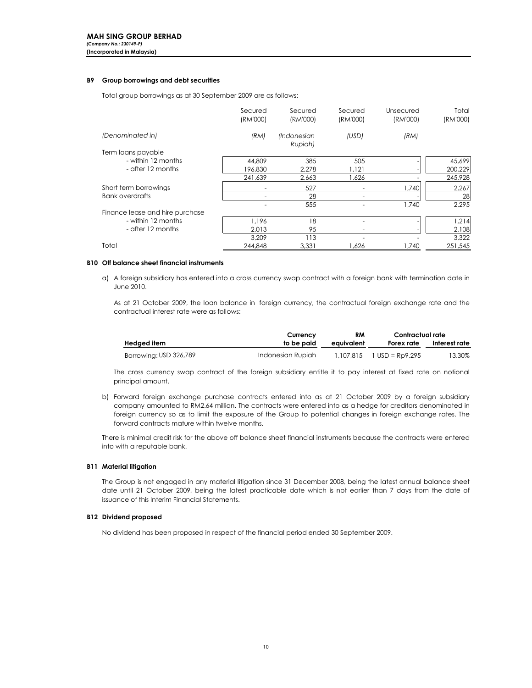## B9 Group borrowings and debt securities

Total group borrowings as at 30 September 2009 are as follows:

|                                 | Secured  | Secured                | Secured  | Unsecured | Total    |
|---------------------------------|----------|------------------------|----------|-----------|----------|
|                                 | (RM'000) | (RM'000)               | (RM'000) | (RM'000)  | (RM'000) |
| (Denominated in)                | (RM)     | (Indonesian<br>Rupiah) | (USD)    | (RM)      |          |
| Term loans payable              |          |                        |          |           |          |
| - within 12 months              | 44.809   | 385                    | 505      |           | 45.699   |
| - after 12 months               | 196.830  | 2.278                  | 1,121    |           | 200,229  |
|                                 | 241,639  | 2,663                  | 1,626    |           | 245,928  |
| Short term borrowings           |          | 527                    |          | 1,740     | 2,267    |
| <b>Bank overdrafts</b>          |          | 28                     |          |           | 28       |
|                                 |          | 555                    |          | 1,740     | 2.295    |
| Finance lease and hire purchase |          |                        |          |           |          |
| - within 12 months              | 1.196    | 18                     |          |           | 1,214    |
| - after 12 months               | 2.013    | 95                     |          |           | 2,108    |
|                                 | 3.209    | 113                    |          |           | 3,322    |
| Total                           | 244.848  | 3.331                  | .626     | 1.740     | 251.545  |

### B10 Off balance sheet financial instruments

a) A foreign subsidiary has entered into a cross currency swap contract with a foreign bank with termination date in June 2010.

As at 21 October 2009, the loan balance in foreign currency, the contractual foreign exchange rate and the contractual interest rate were as follows:

|                        | Currency          | RM         | Contractual rate            |               |
|------------------------|-------------------|------------|-----------------------------|---------------|
| Hedged item            | to be paid        | eauivalent | Forex rate                  | Interest rate |
| Borrowing: USD 326,789 | Indonesian Rupiah |            | $1.107.815$ 1 USD = Rp9.295 | 13.30%        |

The cross currency swap contract of the foreign subsidiary entitle it to pay interest at fixed rate on notional principal amount.

b) Forward foreign exchange purchase contracts entered into as at 21 October 2009 by a foreign subsidiary company amounted to RM2.64 million. The contracts were entered into as a hedge for creditors denominated in foreign currency so as to limit the exposure of the Group to potential changes in foreign exchange rates. The forward contracts mature within twelve months.

There is minimal credit risk for the above off balance sheet financial instruments because the contracts were entered into with a reputable bank.

### B11 Material litigation

The Group is not engaged in any material litigation since 31 December 2008, being the latest annual balance sheet date until 21 October 2009, being the latest practicable date which is not earlier than 7 days from the date of issuance of this Interim Financial Statements.

### B12 Dividend proposed

No dividend has been proposed in respect of the financial period ended 30 September 2009.